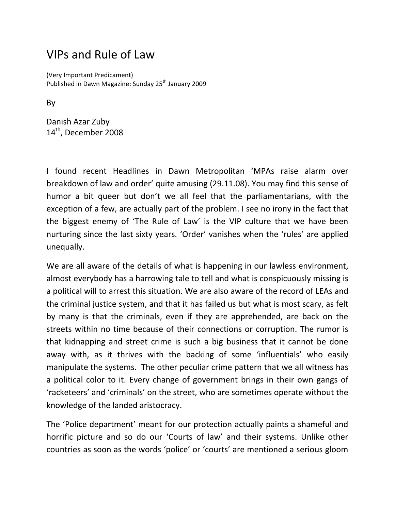## VIPs and Rule of Law

(Very Important Predicament) Published in Dawn Magazine: Sunday 25<sup>th</sup> January 2009

By

Danish Azar Zuby 14<sup>th</sup>, December 2008

I found recent Headlines in Dawn Metropolitan 'MPAs raise alarm over breakdown of law and order' quite amusing (29.11.08). You may find this sense of humor a bit queer but don't we all feel that the parliamentarians, with the exception of a few, are actually part of the problem. I see no irony in the fact that the biggest enemy of 'The Rule of Law' is the VIP culture that we have been nurturing since the last sixty years. 'Order' vanishes when the 'rules' are applied unequally.

We are all aware of the details of what is happening in our lawless environment, almost everybody has a harrowing tale to tell and what is conspicuously missing is a political will to arrest this situation. We are also aware of the record of LEAs and the criminal justice system, and that it has failed us but what is most scary, as felt by many is that the criminals, even if they are apprehended, are back on the streets within no time because of their connections or corruption. The rumor is that kidnapping and street crime is such a big business that it cannot be done away with, as it thrives with the backing of some 'influentials' who easily manipulate the systems. The other peculiar crime pattern that we all witness has a political color to it. Every change of government brings in their own gangs of 'racketeers' and 'criminals' on the street, who are sometimes operate without the knowledge of the landed aristocracy.

The 'Police department' meant for our protection actually paints a shameful and horrific picture and so do our 'Courts of law' and their systems. Unlike other countries as soon as the words 'police' or 'courts' are mentioned a serious gloom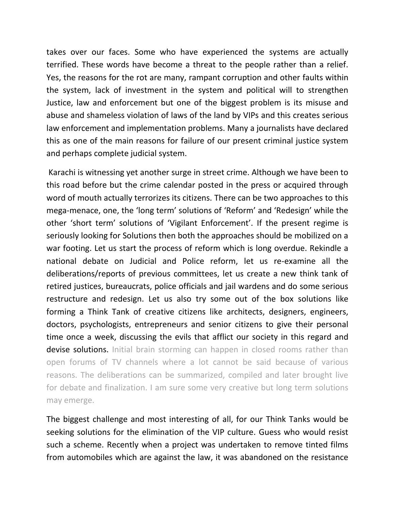takes over our faces. Some who have experienced the systems are actually terrified. These words have become a threat to the people rather than a relief. Yes, the reasons for the rot are many, rampant corruption and other faults within the system, lack of investment in the system and political will to strengthen Justice, law and enforcement but one of the biggest problem is its misuse and abuse and shameless violation of laws of the land by VIPs and this creates serious law enforcement and implementation problems. Many a journalists have declared this as one of the main reasons for failure of our present criminal justice system and perhaps complete judicial system.

Karachi is witnessing yet another surge in street crime. Although we have been to this road before but the crime calendar posted in the press or acquired through word of mouth actually terrorizes its citizens. There can be two approaches to this mega-menace, one, the 'long term' solutions of 'Reform' and 'Redesign' while the other 'short term' solutions of 'Vigilant Enforcement'. If the present regime is seriously looking for Solutions then both the approaches should be mobilized on a war footing. Let us start the process of reform which is long overdue. Rekindle a national debate on Judicial and Police reform, let us re-examine all the deliberations/reports of previous committees, let us create a new think tank of retired justices, bureaucrats, police officials and jail wardens and do some serious restructure and redesign. Let us also try some out of the box solutions like forming a Think Tank of creative citizens like architects, designers, engineers, doctors, psychologists, entrepreneurs and senior citizens to give their personal time once a week, discussing the evils that afflict our society in this regard and devise solutions. Initial brain storming can happen in closed rooms rather than open forums of TV channels where a lot cannot be said because of various reasons. The deliberations can be summarized, compiled and later brought live for debate and finalization. I am sure some very creative but long term solutions may emerge.

The biggest challenge and most interesting of all, for our Think Tanks would be seeking solutions for the elimination of the VIP culture. Guess who would resist such a scheme. Recently when a project was undertaken to remove tinted films from automobiles which are against the law, it was abandoned on the resistance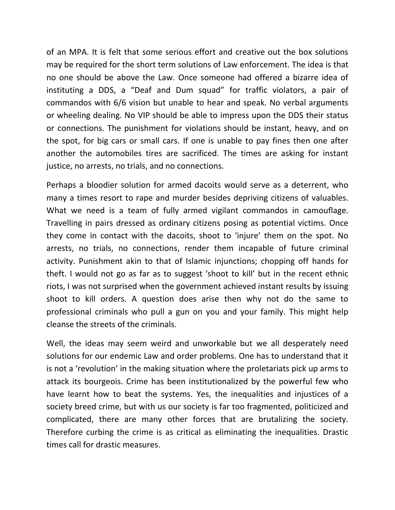of an MPA. It is felt that some serious effort and creative out the box solutions may be required for the short term solutions of Law enforcement. The idea is that no one should be above the Law. Once someone had offered a bizarre idea of instituting a DDS, a "Deaf and Dum squad" for traffic violators, a pair of commandos with 6/6 vision but unable to hear and speak. No verbal arguments or wheeling dealing. No VIP should be able to impress upon the DDS their status or connections. The punishment for violations should be instant, heavy, and on the spot, for big cars or small cars. If one is unable to pay fines then one after another the automobiles tires are sacrificed. The times are asking for instant justice, no arrests, no trials, and no connections.

Perhaps a bloodier solution for armed dacoits would serve as a deterrent, who many a times resort to rape and murder besides depriving citizens of valuables. What we need is a team of fully armed vigilant commandos in camouflage. Travelling in pairs dressed as ordinary citizens posing as potential victims. Once they come in contact with the dacoits, shoot to 'injure' them on the spot. No arrests, no trials, no connections, render them incapable of future criminal activity. Punishment akin to that of Islamic injunctions; chopping off hands for theft. I would not go as far as to suggest 'shoot to kill' but in the recent ethnic riots, I was not surprised when the government achieved instant results by issuing shoot to kill orders. A question does arise then why not do the same to professional criminals who pull a gun on you and your family. This might help cleanse the streets of the criminals.

Well, the ideas may seem weird and unworkable but we all desperately need solutions for our endemic Law and order problems. One has to understand that it is not a 'revolution' in the making situation where the proletariats pick up arms to attack its bourgeois. Crime has been institutionalized by the powerful few who have learnt how to beat the systems. Yes, the inequalities and injustices of a society breed crime, but with us our society is far too fragmented, politicized and complicated, there are many other forces that are brutalizing the society. Therefore curbing the crime is as critical as eliminating the inequalities. Drastic times call for drastic measures.